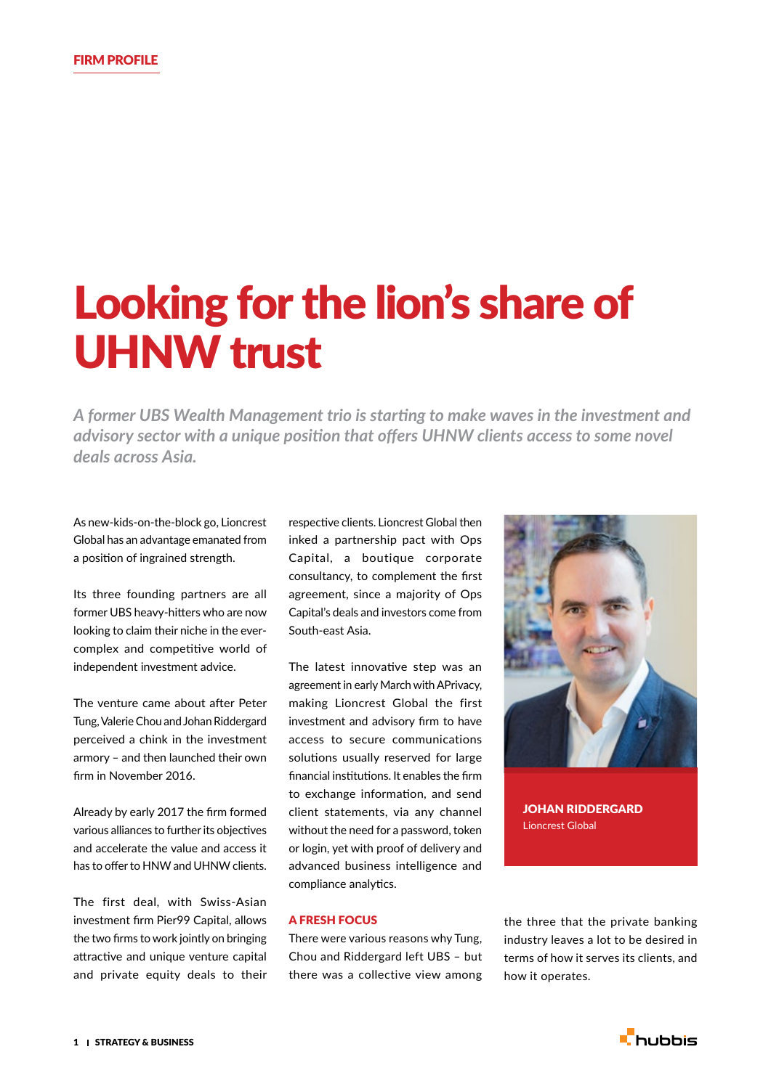# Looking for the lion's share of UHNW trust

*A former UBS Wealth Management trio is starting to make waves in the investment and advisory sector with a unique position that offers UHNW clients access to some novel deals across Asia.*

As new-kids-on-the-block go, Lioncrest Global has an advantage emanated from a position of ingrained strength.

Its three founding partners are all former UBS heavy-hitters who are now looking to claim their niche in the evercomplex and competitive world of independent investment advice.

The venture came about after Peter Tung, Valerie Chou and Johan Riddergard perceived a chink in the investment armory – and then launched their own firm in November 2016.

Already by early 2017 the firm formed various alliances to further its objectives and accelerate the value and access it has to offer to HNW and UHNW clients.

The first deal, with Swiss-Asian investment firm Pier99 Capital, allows the two firms to work jointly on bringing attractive and unique venture capital and private equity deals to their respective clients. Lioncrest Global then inked a partnership pact with Ops Capital, a boutique corporate consultancy, to complement the first agreement, since a majority of Ops Capital's deals and investors come from South-east Asia.

The latest innovative step was an agreement in early March with APrivacy, making Lioncrest Global the first investment and advisory firm to have access to secure communications solutions usually reserved for large financial institutions. It enables the firm to exchange information, and send client statements, via any channel without the need for a password, token or login, yet with proof of delivery and advanced business intelligence and compliance analytics.



JOHAN RIDDERGARD Lioncrest Global

## A FRESH FOCUS

There were various reasons why Tung, Chou and Riddergard left UBS – but there was a collective view among the three that the private banking industry leaves a lot to be desired in terms of how it serves its clients, and how it operates.